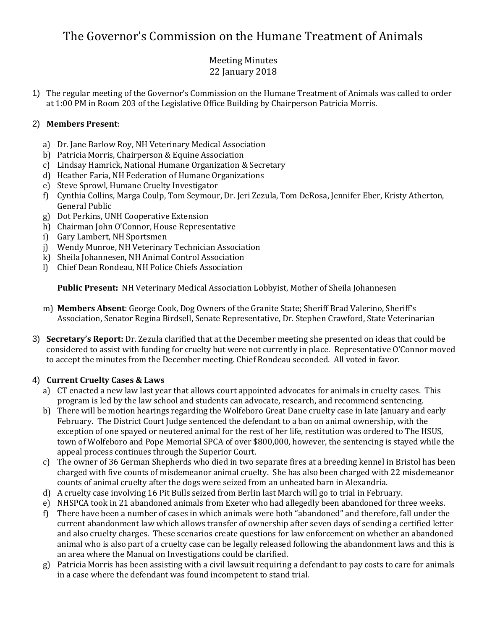# The Governor's Commission on the Humane Treatment of Animals

# Meeting Minutes 22 January 2018

1) The regular meeting of the Governor's Commission on the Humane Treatment of Animals was called to order at 1:00 PM in Room 203 of the Legislative Office Building by Chairperson Patricia Morris.

# 2) **Members Present**:

- a) Dr. Jane Barlow Roy, NH Veterinary Medical Association
- b) Patricia Morris, Chairperson & Equine Association
- c) Lindsay Hamrick, National Humane Organization & Secretary
- d) Heather Faria, NH Federation of Humane Organizations
- e) Steve Sprowl, Humane Cruelty Investigator
- f) Cynthia Collins, Marga Coulp, Tom Seymour, Dr. Jeri Zezula, Tom DeRosa, Jennifer Eber, Kristy Atherton, General Public
- g) Dot Perkins, UNH Cooperative Extension
- h) Chairman John O'Connor, House Representative
- i) Gary Lambert, NH Sportsmen
- j) Wendy Munroe, NH Veterinary Technician Association
- k) Sheila Johannesen, NH Animal Control Association
- l) Chief Dean Rondeau, NH Police Chiefs Association

**Public Present:** NH Veterinary Medical Association Lobbyist, Mother of Sheila Johannesen

- m) **Members Absent**: George Cook, Dog Owners of the Granite State; Sheriff Brad Valerino, Sheriff's Association, Senator Regina Birdsell, Senate Representative, Dr. Stephen Crawford, State Veterinarian
- 3) **Secretary's Report:** Dr. Zezula clarified that at the December meeting she presented on ideas that could be considered to assist with funding for cruelty but were not currently in place. Representative O'Connor moved to accept the minutes from the December meeting. Chief Rondeau seconded. All voted in favor.

## 4) **Current Cruelty Cases & Laws**

- a) CT enacted a new law last year that allows court appointed advocates for animals in cruelty cases. This program is led by the law school and students can advocate, research, and recommend sentencing.
- b) There will be motion hearings regarding the Wolfeboro Great Dane cruelty case in late January and early February. The District Court Judge sentenced the defendant to a ban on animal ownership, with the exception of one spayed or neutered animal for the rest of her life, restitution was ordered to The HSUS, town of Wolfeboro and Pope Memorial SPCA of over \$800,000, however, the sentencing is stayed while the appeal process continues through the Superior Court.
- c) The owner of 36 German Shepherds who died in two separate fires at a breeding kennel in Bristol has been charged with five counts of misdemeanor animal cruelty. She has also been charged with 22 misdemeanor counts of animal cruelty after the dogs were seized from an unheated barn in Alexandria.
- d) A cruelty case involving 16 Pit Bulls seized from Berlin last March will go to trial in February.
- e) NHSPCA took in 21 abandoned animals from Exeter who had allegedly been abandoned for three weeks.
- f) There have been a number of cases in which animals were both "abandoned" and therefore, fall under the current abandonment law which allows transfer of ownership after seven days of sending a certified letter and also cruelty charges. These scenarios create questions for law enforcement on whether an abandoned animal who is also part of a cruelty case can be legally released following the abandonment laws and this is an area where the Manual on Investigations could be clarified.
- g) Patricia Morris has been assisting with a civil lawsuit requiring a defendant to pay costs to care for animals in a case where the defendant was found incompetent to stand trial.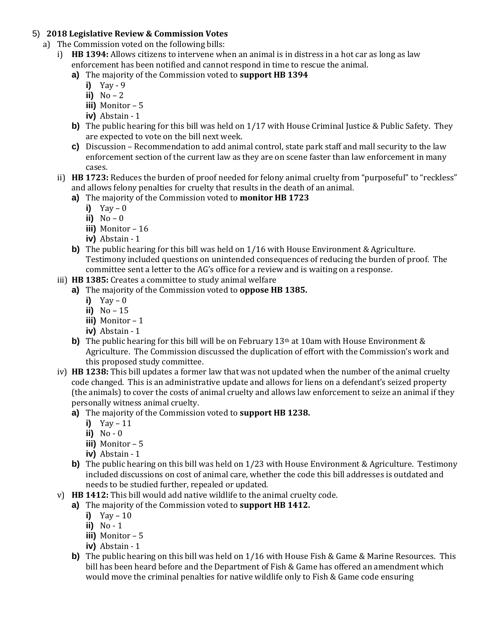#### 5) **2018 Legislative Review & Commission Votes**

- a) The Commission voted on the following bills:
	- i) **HB 1394:** Allows citizens to intervene when an animal is in distress in a hot car as long as law enforcement has been notified and cannot respond in time to rescue the animal.
		- **a)** The majority of the Commission voted to **support HB 1394**
			- **i)** Yay 9
			- ii)  $No-2$
			- **iii)** Monitor 5
			- **iv)** Abstain 1
		- **b)** The public hearing for this bill was held on 1/17 with House Criminal Justice & Public Safety. They are expected to vote on the bill next week.
		- **c)** Discussion Recommendation to add animal control, state park staff and mall security to the law enforcement section of the current law as they are on scene faster than law enforcement in many cases.
	- ii) **HB 1723:** Reduces the burden of proof needed for felony animal cruelty from "purposeful" to "reckless" and allows felony penalties for cruelty that results in the death of an animal.
		- **a)** The majority of the Commission voted to **monitor HB 1723**
			- **i)** Yay 0
			- $\overline{ii}$ ) No 0
			- **iii)** Monitor 16
			- **iv)** Abstain 1
		- **b**) The public hearing for this bill was held on 1/16 with House Environment & Agriculture. Testimony included questions on unintended consequences of reducing the burden of proof. The committee sent a letter to the AG's office for a review and is waiting on a response.
	- iii) **HB 1385:** Creates a committee to study animal welfare
		- **a)** The majority of the Commission voted to **oppose HB 1385.**
			- **i)** Yay 0
			- **ii)** No 15
			- **iii)** Monitor 1
			- **iv)** Abstain 1
		- **b)** The public hearing for this bill will be on February 13<sup>th</sup> at 10am with House Environment & Agriculture. The Commission discussed the duplication of effort with the Commission's work and this proposed study committee.
	- iv) **HB 1238:** This bill updates a former law that was not updated when the number of the animal cruelty code changed. This is an administrative update and allows for liens on a defendant's seized property (the animals) to cover the costs of animal cruelty and allows law enforcement to seize an animal if they personally witness animal cruelty.
		- **a)** The majority of the Commission voted to **support HB 1238.**
			- **i)** Yay 11
			- **ii)** No 0
			- **iii)** Monitor 5
			- **iv)** Abstain 1
		- **b)** The public hearing on this bill was held on 1/23 with House Environment & Agriculture. Testimony included discussions on cost of animal care, whether the code this bill addresses is outdated and needs to be studied further, repealed or updated.
	- v) **HB 1412:** This bill would add native wildlife to the animal cruelty code.
		- **a)** The majority of the Commission voted to **support HB 1412.**
			- **i)** Yay 10
			- **ii)** No 1
			- **iii)** Monitor 5
			- **iv)** Abstain 1
			- **b)** The public hearing on this bill was held on 1/16 with House Fish & Game & Marine Resources. This bill has been heard before and the Department of Fish & Game has offered an amendment which would move the criminal penalties for native wildlife only to Fish & Game code ensuring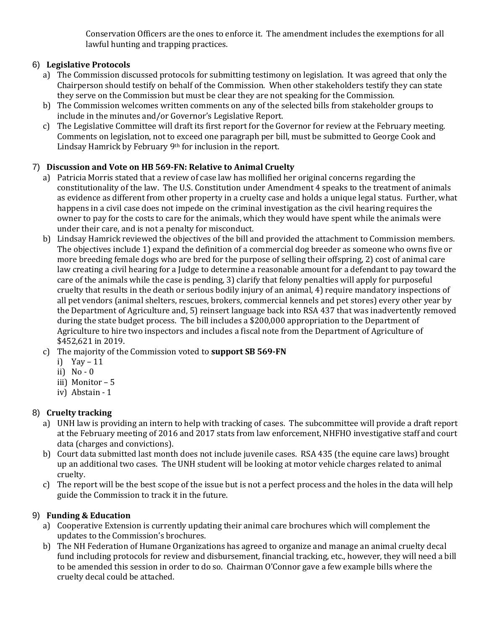Conservation Officers are the ones to enforce it. The amendment includes the exemptions for all lawful hunting and trapping practices.

# 6) **Legislative Protocols**

- a) The Commission discussed protocols for submitting testimony on legislation. It was agreed that only the Chairperson should testify on behalf of the Commission. When other stakeholders testify they can state they serve on the Commission but must be clear they are not speaking for the Commission.
- b) The Commission welcomes written comments on any of the selected bills from stakeholder groups to include in the minutes and/or Governor's Legislative Report.
- c) The Legislative Committee will draft its first report for the Governor for review at the February meeting. Comments on legislation, not to exceed one paragraph per bill, must be submitted to George Cook and Lindsay Hamrick by February 9<sup>th</sup> for inclusion in the report.

# 7) **Discussion and Vote on HB 569-FN: Relative to Animal Cruelty**

- a) Patricia Morris stated that a review of case law has mollified her original concerns regarding the constitutionality of the law. The U.S. Constitution under Amendment 4 speaks to the treatment of animals as evidence as different from other property in a cruelty case and holds a unique legal status. Further, what happens in a civil case does not impede on the criminal investigation as the civil hearing requires the owner to pay for the costs to care for the animals, which they would have spent while the animals were under their care, and is not a penalty for misconduct.
- b) Lindsay Hamrick reviewed the objectives of the bill and provided the attachment to Commission members. The objectives include 1) expand the definition of a commercial dog breeder as someone who owns five or more breeding female dogs who are bred for the purpose of selling their offspring, 2) cost of animal care law creating a civil hearing for a Judge to determine a reasonable amount for a defendant to pay toward the care of the animals while the case is pending, 3) clarify that felony penalties will apply for purposeful cruelty that results in the death or serious bodily injury of an animal, 4) require mandatory inspections of all pet vendors (animal shelters, rescues, brokers, commercial kennels and pet stores) every other year by the Department of Agriculture and, 5) reinsert language back into RSA 437 that was inadvertently removed during the state budget process. The bill includes a \$200,000 appropriation to the Department of Agriculture to hire two inspectors and includes a fiscal note from the Department of Agriculture of \$452,621 in 2019.
- c) The majority of the Commission voted to **support SB 569-FN**
	- i) Yay 11
	- ii) No 0
	- iii) Monitor 5
	- iv) Abstain 1

# 8) **Cruelty tracking**

- a) UNH law is providing an intern to help with tracking of cases. The subcommittee will provide a draft report at the February meeting of 2016 and 2017 stats from law enforcement, NHFHO investigative staff and court data (charges and convictions).
- b) Court data submitted last month does not include juvenile cases. RSA 435 (the equine care laws) brought up an additional two cases. The UNH student will be looking at motor vehicle charges related to animal cruelty.
- c) The report will be the best scope of the issue but is not a perfect process and the holes in the data will help guide the Commission to track it in the future.

# 9) **Funding & Education**

- a) Cooperative Extension is currently updating their animal care brochures which will complement the updates to the Commission's brochures.
- b) The NH Federation of Humane Organizations has agreed to organize and manage an animal cruelty decal fund including protocols for review and disbursement, financial tracking, etc., however, they will need a bill to be amended this session in order to do so. Chairman O'Connor gave a few example bills where the cruelty decal could be attached.